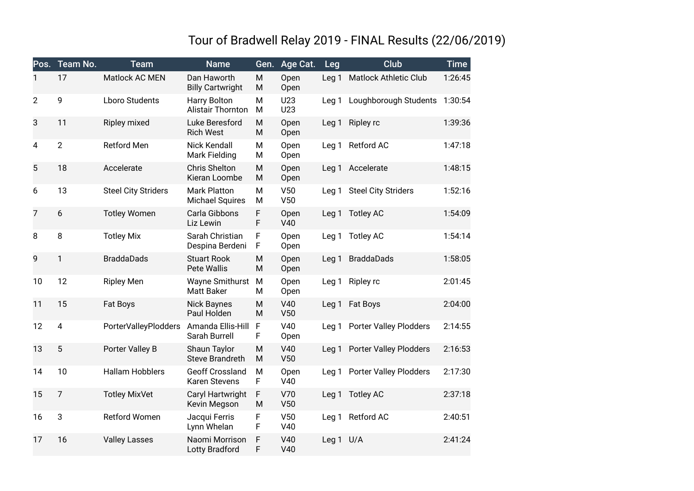## Tour of Bradwell Relay 2019 - FINAL Results (22/06/2019)

| Pos.           | Team No.       | <b>Team</b>                 | <b>Name</b>                                    | Gen.   | Age Cat.     | Leg              | <b>Club</b>                   | <b>Time</b> |
|----------------|----------------|-----------------------------|------------------------------------------------|--------|--------------|------------------|-------------------------------|-------------|
| 1              | 17             | Matlock AC MEN              | Dan Haworth<br><b>Billy Cartwright</b>         | M<br>M | Open<br>Open | Leg <sub>1</sub> | <b>Matlock Athletic Club</b>  | 1:26:45     |
| $\overline{2}$ | 9              | <b>Lboro Students</b>       | Harry Bolton<br>Alistair Thornton              | M<br>M | U23<br>U23   | Leg <sub>1</sub> | Loughborough Students         | 1:30:54     |
| 3              | 11             | Ripley mixed                | Luke Beresford<br><b>Rich West</b>             | M<br>M | Open<br>Open | Leg <sub>1</sub> | Ripley rc                     | 1:39:36     |
| $\overline{4}$ | $\overline{2}$ | <b>Retford Men</b>          | <b>Nick Kendall</b><br>Mark Fielding           | M<br>М | Open<br>Open | Leg <sub>1</sub> | Retford AC                    | 1:47:18     |
| 5              | 18             | Accelerate                  | <b>Chris Shelton</b><br>Kieran Loombe          | M<br>M | Open<br>Open |                  | Leg 1 Accelerate              | 1:48:15     |
| 6              | 13             | <b>Steel City Striders</b>  | <b>Mark Platton</b><br><b>Michael Squires</b>  | M<br>M | V50<br>V50   | Leg <sub>1</sub> | <b>Steel City Striders</b>    | 1:52:16     |
| 7              | 6              | <b>Totley Women</b>         | Carla Gibbons<br>Liz Lewin                     | F<br>F | Open<br>V40  | Leg <sub>1</sub> | <b>Totley AC</b>              | 1:54:09     |
| 8              | 8              | <b>Totley Mix</b>           | Sarah Christian<br>Despina Berdeni             | F<br>F | Open<br>Open | Leg <sub>1</sub> | <b>Totley AC</b>              | 1:54:14     |
| 9              | $\mathbf{1}$   | <b>BraddaDads</b>           | <b>Stuart Rook</b><br><b>Pete Wallis</b>       | M<br>M | Open<br>Open | Leg <sub>1</sub> | <b>BraddaDads</b>             | 1:58:05     |
| 10             | 12             | <b>Ripley Men</b>           | <b>Wayne Smithurst</b><br><b>Matt Baker</b>    | M<br>M | Open<br>Open | Leg <sub>1</sub> | Ripley rc                     | 2:01:45     |
| 11             | 15             | Fat Boys                    | <b>Nick Baynes</b><br>Paul Holden              | M<br>M | V40<br>V50   | Leg <sub>1</sub> | <b>Fat Boys</b>               | 2:04:00     |
| 12             | $\overline{4}$ | <b>PorterValleyPlodders</b> | Amanda Ellis-Hill<br>Sarah Burrell             | F<br>F | V40<br>Open  |                  | Leg 1 Porter Valley Plodders  | 2:14:55     |
| 13             | 5              | Porter Valley B             | Shaun Taylor<br><b>Steve Brandreth</b>         | M<br>M | V40<br>V50   | Leg <sub>1</sub> | <b>Porter Valley Plodders</b> | 2:16:53     |
| 14             | 10             | <b>Hallam Hobblers</b>      | <b>Geoff Crossland</b><br><b>Karen Stevens</b> | M<br>F | Open<br>V40  | Leg <sub>1</sub> | <b>Porter Valley Plodders</b> | 2:17:30     |
| 15             | $\overline{7}$ | <b>Totley MixVet</b>        | Caryl Hartwright<br>Kevin Megson               | F<br>M | V70<br>V50   | Leg <sub>1</sub> | <b>Totley AC</b>              | 2:37:18     |
| 16             | 3              | <b>Retford Women</b>        | Jacqui Ferris<br>Lynn Whelan                   | F<br>F | V50<br>V40   | Leg <sub>1</sub> | Retford AC                    | 2:40:51     |
| 17             | 16             | <b>Valley Lasses</b>        | Naomi Morrison<br>Lotty Bradford               | F<br>F | V40<br>V40   | Leg <sub>1</sub> | U/A                           | 2:41:24     |